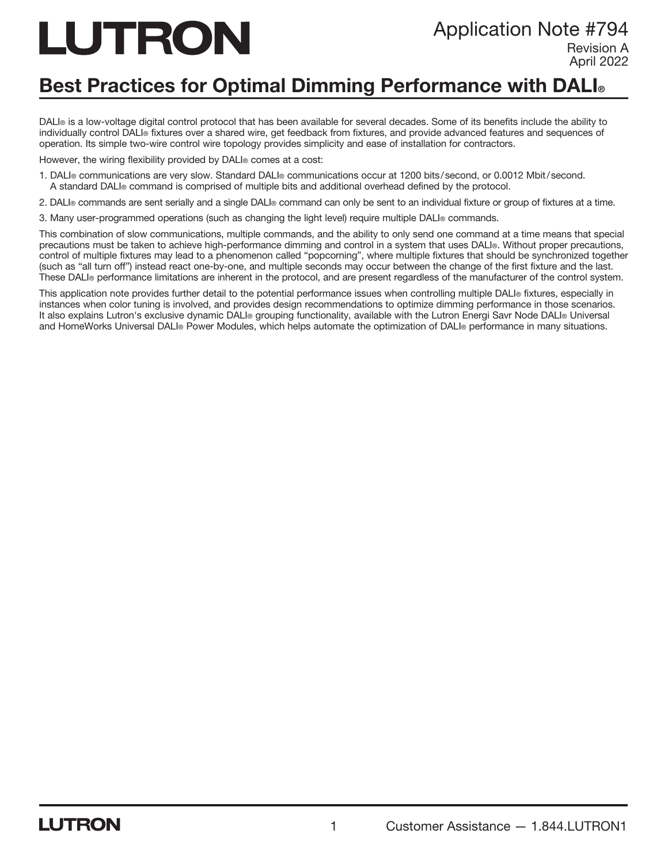# LUTRON

# Application Note #794

Revision A April 2022

# Best Practices for Optimal Dimming Performance with DALI<sup>®</sup>

DALI® is a low-voltage digital control protocol that has been available for several decades. Some of its benefits include the ability to individually control DALI® fixtures over a shared wire, get feedback from fixtures, and provide advanced features and sequences of operation. Its simple two-wire control wire topology provides simplicity and ease of installation for contractors.

However, the wiring flexibility provided by DALI<sup>®</sup> comes at a cost:

- 1. DALI® communications are very slow. Standard DALI® communications occur at 1200 bits/second, or 0.0012 Mbit/second. A standard DALI® command is comprised of multiple bits and additional overhead defined by the protocol.
- 2. DALI® commands are sent serially and a single DALI® command can only be sent to an individual fixture or group of fixtures at a time.
- 3. Many user-programmed operations (such as changing the light level) require multiple DALI® commands.

This combination of slow communications, multiple commands, and the ability to only send one command at a time means that special precautions must be taken to achieve high-performance dimming and control in a system that uses DALI®. Without proper precautions, control of multiple fixtures may lead to a phenomenon called "popcorning", where multiple fixtures that should be synchronized together (such as "all turn off") instead react one-by-one, and multiple seconds may occur between the change of the first fixture and the last. These DALI® performance limitations are inherent in the protocol, and are present regardless of the manufacturer of the control system.

This application note provides further detail to the potential performance issues when controlling multiple DALI® fixtures, especially in instances when color tuning is involved, and provides design recommendations to optimize dimming performance in those scenarios. It also explains Lutron's exclusive dynamic DALI® grouping functionality, available with the Lutron Energi Savr Node DALI® Universal and HomeWorks Universal DALI® Power Modules, which helps automate the optimization of DALI® performance in many situations.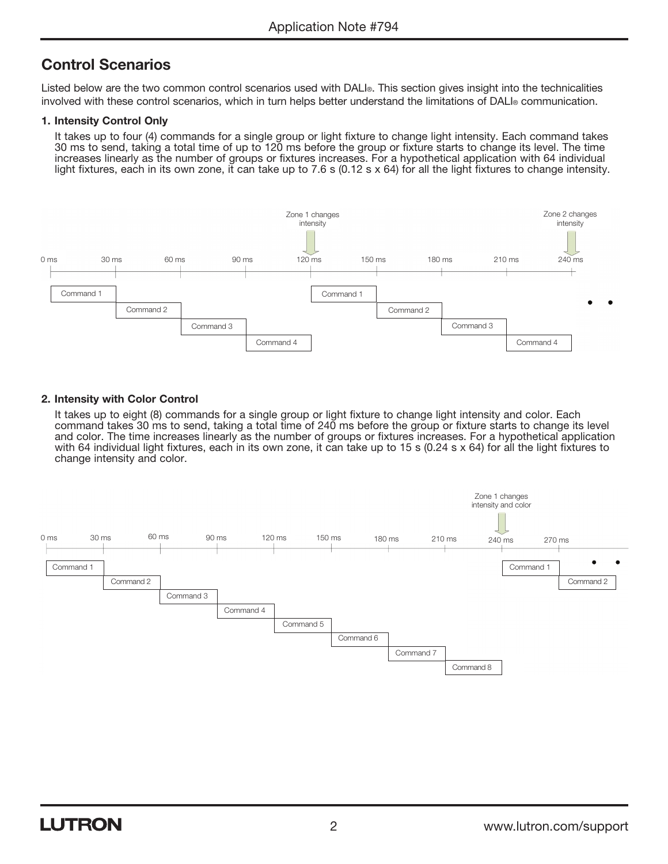# Control Scenarios

Listed below are the two common control scenarios used with DALI®. This section gives insight into the technicalities involved with these control scenarios, which in turn helps better understand the limitations of DALI® communication.

#### 1. Intensity Control Only

 It takes up to four (4) commands for a single group or light fixture to change light intensity. Each command takes 30 ms to send, taking a total time of up to 120 ms before the group or fixture starts to change its level. The time increases linearly as the number of groups or fixtures increases. For a hypothetical application with 64 individual light fixtures, each in its own zone, it can take up to 7.6 s (0.12 s x 64) for all the light fixtures to change intensity.



#### 2. Intensity with Color Control

 It takes up to eight (8) commands for a single group or light fixture to change light intensity and color. Each command takes 30 ms to send, taking a total time of 240 ms before the group or fixture starts to change its level and color. The time increases linearly as the number of groups or fixtures increases. For a hypothetical application with 64 individual light fixtures, each in its own zone, it can take up to 15 s (0.24 s x 64) for all the light fixtures to change intensity and color.

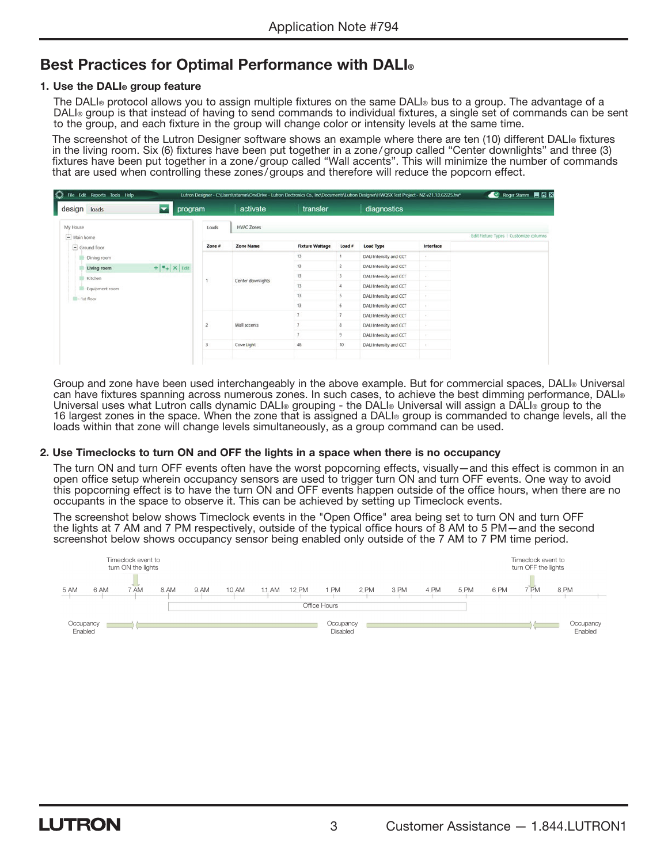## Best Practices for Optimal Performance with DALI<sup>®</sup>

#### 1. Use the DALI® group feature

 The DALI® protocol allows you to assign multiple fixtures on the same DALI® bus to a group. The advantage of a DALI® group is that instead of having to send commands to individual fixtures, a single set of commands can be sent to the group, and each fixture in the group will change color or intensity levels at the same time.

The screenshot of the Lutron Designer software shows an example where there are ten (10) different DALI® fixtures in the living room. Six (6) fixtures have been put together in a zone/group called "Center downlights" and three (3) fixtures have been put together in a zone/group called "Wall accents". This will minimize the number of commands that are used when controlling these zones/groups and therefore will reduce the popcorn effect.

| $\overline{\phantom{a}}$<br>program<br>loads<br>design |                                        | activate          | transfer               |        | diagnostics            |           |  |  |  |  |
|--------------------------------------------------------|----------------------------------------|-------------------|------------------------|--------|------------------------|-----------|--|--|--|--|
| My House                                               | Loads                                  | <b>HVAC Zones</b> |                        |        |                        |           |  |  |  |  |
| $\equiv$ Main home                                     | Edit Fixture Types   Customize columns |                   |                        |        |                        |           |  |  |  |  |
| $=$ Ground floor                                       | Zone #                                 | <b>Zone Name</b>  | <b>Fixture Wattage</b> | Load # | <b>Load Type</b>       | Interface |  |  |  |  |
| Dining room                                            |                                        | Center downlights | 13                     |        | DALI Intensity and CCT |           |  |  |  |  |
| $+ $ $\bullet$ $\bullet$ $\times$ Edit<br>Living room  |                                        |                   | 13                     | 2      | DALI Intensity and CCT |           |  |  |  |  |
| <b>Kitchen</b>                                         |                                        |                   | 13                     | 3      | DALI Intensity and CCT |           |  |  |  |  |
| Equipment room                                         |                                        |                   | 13                     | 4      | DALI Intensity and CCT |           |  |  |  |  |
| -1st floor                                             |                                        |                   | 13                     | 5.     | DALI Intensity and CCT |           |  |  |  |  |
|                                                        |                                        |                   | 13                     | 6      | DALI Intensity and CCT |           |  |  |  |  |
|                                                        |                                        | Wall accents      | $\overline{z}$         | 7      | DALI Intensity and CCT |           |  |  |  |  |
|                                                        |                                        |                   |                        | 8      | DALI Intensity and CCT |           |  |  |  |  |
|                                                        |                                        |                   |                        | ۹      | DALI Intensity and CCT |           |  |  |  |  |
|                                                        |                                        | Cove Light        | 48                     | 10     | DALI Intensity and CCT |           |  |  |  |  |

 Group and zone have been used interchangeably in the above example. But for commercial spaces, DALI® Universal can have fixtures spanning across numerous zones. In such cases, to achieve the best dimming performance, DALI® Universal uses what Lutron calls dynamic DALI® grouping - the DALI® Universal will assign a DALI® group to the 16 largest zones in the space. When the zone that is assigned a DALI® group is commanded to change levels, all the loads within that zone will change levels simultaneously, as a group command can be used.

#### 2. Use Timeclocks to turn ON and OFF the lights in a space when there is no occupancy

 The turn ON and turn OFF events often have the worst popcorning effects, visually—and this effect is common in an open office setup wherein occupancy sensors are used to trigger turn ON and turn OFF events. One way to avoid this popcorning effect is to have the turn ON and OFF events happen outside of the office hours, when there are no occupants in the space to observe it. This can be achieved by setting up Timeclock events.

 The screenshot below shows Timeclock events in the "Open Office" area being set to turn ON and turn OFF the lights at 7 AM and 7 PM respectively, outside of the typical office hours of 8 AM to 5 PM—and the second screenshot below shows occupancy sensor being enabled only outside of the 7 AM to 7 PM time period.

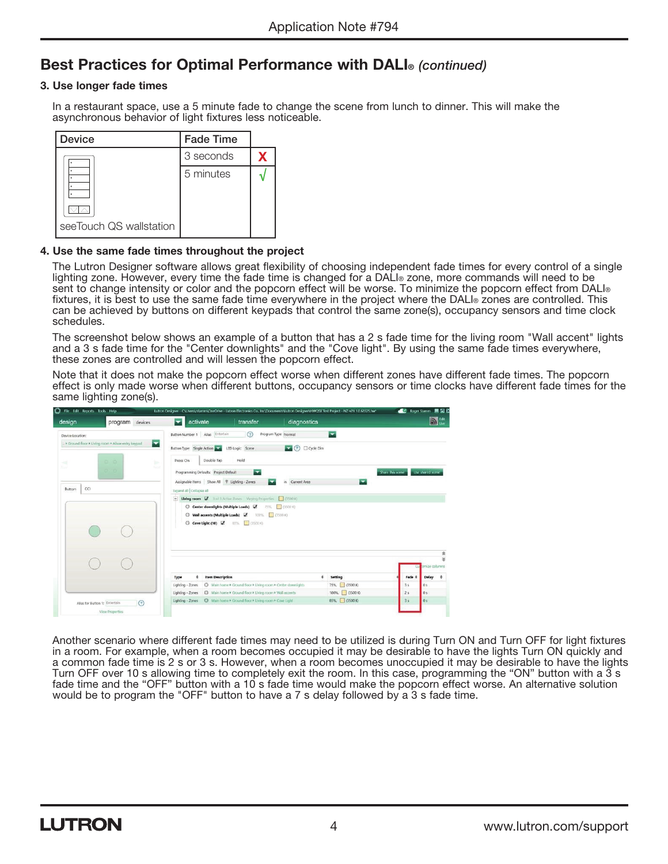## Best Practices for Optimal Performance with DALI® *(continued)*

#### 3. Use longer fade times

 In a restaurant space, use a 5 minute fade to change the scene from lunch to dinner. This will make the asynchronous behavior of light fixtures less noticeable.



#### 4. Use the same fade times throughout the project

 The Lutron Designer software allows great flexibility of choosing independent fade times for every control of a single lighting zone. However, every time the fade time is changed for a DALI® zone, more commands will need to be sent to change intensity or color and the popcorn effect will be worse. To minimize the popcorn effect from DALI® fixtures, it is best to use the same fade time everywhere in the project where the DALI® zones are controlled. This can be achieved by buttons on different keypads that control the same zone(s), occupancy sensors and time clock schedules.

 The screenshot below shows an example of a button that has a 2 s fade time for the living room "Wall accent" lights and a 3 s fade time for the "Center downlights" and the "Cove light". By using the same fade times everywhere, these zones are controlled and will lessen the popcorn effect.

 Note that it does not make the popcorn effect worse when different zones have different fade times. The popcorn effect is only made worse when different buttons, occupancy sensors or time clocks have different fade times for the same lighting zone(s).

| design                           | program<br>devices                                       | activate<br>≂                                                                | transfer                                                                                                                                                                                   | diagnostics                        |                          |                  |                  | $D_{\text{in}}$                             |
|----------------------------------|----------------------------------------------------------|------------------------------------------------------------------------------|--------------------------------------------------------------------------------------------------------------------------------------------------------------------------------------------|------------------------------------|--------------------------|------------------|------------------|---------------------------------------------|
| Device Location:                 | ▼<br>. I Ground Boor I Living room I Alisse entry keypad | Button Number 1 Alias Entertain<br>Button Type: Single Action                | (2)<br>LED Logic Scene                                                                                                                                                                     | Program Type Normal<br>2 Cycle Dim | $\overline{\phantom{a}}$ |                  |                  |                                             |
| -12<br>w<br>CCI<br><b>Button</b> | 0.00<br>bi-<br><b>Survey</b><br>0.76                     | Press On<br>Programming Defaults: Project Default<br>Expand all Collapse all | Double Tap<br>Hold<br>$\overline{\phantom{a}}$<br>Assignable Items Show All \ Lighting - Zones                                                                                             | Current Area<br>in.                | ►                        | Share this scene | Use shared scene |                                             |
|                                  |                                                          |                                                                              | - Living room V 3 of 3 Active Zones Varying Properties   (350010)<br>Center downlights (Multiple Loads)<br>Wall accents (Multiple Loads)<br>100% 3500 K)<br>Cove Light (10)<br>85% 3500 KG | 75% 3500 K                         |                          |                  |                  |                                             |
|                                  |                                                          | Type                                                                         | <b>Item Description</b>                                                                                                                                                                    | $\theta$                           | Setting                  |                  | Fade 0<br>Delay  | 全<br>$\equiv$<br>prnize columns<br>$\theta$ |
|                                  |                                                          | Lighting - Zones                                                             | C Main home * Ground floor * Living room * Center downlights                                                                                                                               |                                    | 75% 3500 K)              | 3s               | 0s               |                                             |
|                                  |                                                          | Lighting - Zones                                                             | C Main home > Ground floor > Living room > Wall accents                                                                                                                                    |                                    | 100% 3500 K              | 2s               | 0s               |                                             |
|                                  |                                                          | Lighting - Zones                                                             | C Main home > Ground floor > Living room > Cove Light                                                                                                                                      |                                    | 85% 3500 K)              | 3s               | 0s               |                                             |

 Another scenario where different fade times may need to be utilized is during Turn ON and Turn OFF for light fixtures in a room. For example, when a room becomes occupied it may be desirable to have the lights Turn ON quickly and a common fade time is 2 s or 3 s. However, when a room becomes unoccupied it may be desirable to have the lights Turn OFF over 10 s allowing time to completely exit the room. In this case, programming the "ON" button with a 3 s fade time and the "OFF" button with a 10 s fade time would make the popcorn effect worse. An alternative solution would be to program the "OFF" button to have a 7 s delay followed by a 3 s fade time.